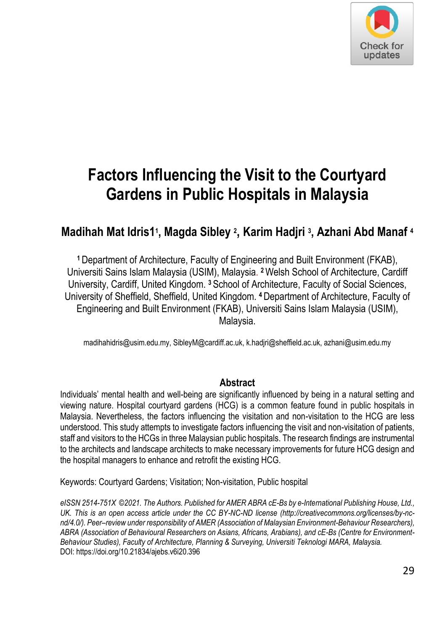

# **Factors Influencing the Visit to the Courtyard Gardens in Public Hospitals in Malaysia**

## **Madihah Mat Idris1<sup>1</sup> , Magda Sibley <sup>2</sup> , Karim Hadjri <sup>3</sup> , Azhani Abd Manaf <sup>4</sup>**

**<sup>1</sup>**Department of Architecture, Faculty of Engineering and Built Environment (FKAB), Universiti Sains Islam Malaysia (USIM), Malaysia. **<sup>2</sup>**Welsh School of Architecture, Cardiff University, Cardiff, United Kingdom. **<sup>3</sup>**School of Architecture, Faculty of Social Sciences, University of Sheffield, Sheffield, United Kingdom. **4** Department of Architecture, Faculty of Engineering and Built Environment (FKAB), Universiti Sains Islam Malaysia (USIM), Malaysia.

madihahidris@usim.edu.my, SibleyM@cardiff.ac.uk, k.hadjri@sheffield.ac.uk, azhani@usim.edu.my

#### **Abstract**

Individuals' mental health and well-being are significantly influenced by being in a natural setting and viewing nature. Hospital courtyard gardens (HCG) is a common feature found in public hospitals in Malaysia. Nevertheless, the factors influencing the visitation and non-visitation to the HCG are less understood. This study attempts to investigate factors influencing the visit and non-visitation of patients, staff and visitors to the HCGs in three Malaysian public hospitals. The research findings are instrumental to the architects and landscape architects to make necessary improvements for future HCG design and the hospital managers to enhance and retrofit the existing HCG.

Keywords: Courtyard Gardens; Visitation; Non-visitation, Public hospital

*eISSN 2514-751X ©2021. The Authors. Published for AMER ABRA cE-Bs by e-International Publishing House, Ltd., UK. This is an open access article under the CC BY-NC-ND license (http://creativecommons.org/licenses/by-ncnd/4.0/). Peer–review under responsibility of AMER (Association of Malaysian Environment-Behaviour Researchers), ABRA (Association of Behavioural Researchers on Asians, Africans, Arabians), and cE-Bs (Centre for Environment-Behaviour Studies), Faculty of Architecture, Planning & Surveying, Universiti Teknologi MARA, Malaysia.*  DOI: https://doi.org/10.21834/ajebs.v6i20.396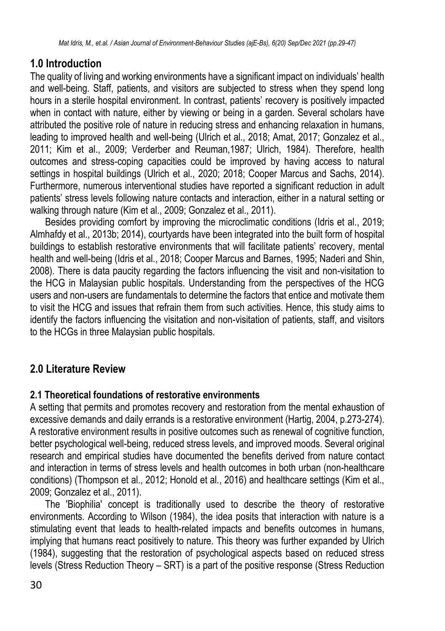## **1.0 Introduction**

The quality of living and working environments have a significant impact on individuals' health and well-being. Staff, patients, and visitors are subjected to stress when they spend long hours in a sterile hospital environment. In contrast, patients' recovery is positively impacted when in contact with nature, either by viewing or being in a garden. Several scholars have attributed the positive role of nature in reducing stress and enhancing relaxation in humans, leading to improved health and well-being (Ulrich et al., 2018; Amat, 2017; Gonzalez et al., 2011; Kim et al., 2009; Verderber and Reuman,1987; Ulrich, 1984). Therefore, health outcomes and stress-coping capacities could be improved by having access to natural settings in hospital buildings (Ulrich et al., 2020; 2018; Cooper Marcus and Sachs, 2014). Furthermore, numerous interventional studies have reported a significant reduction in adult patients' stress levels following nature contacts and interaction, either in a natural setting or walking through nature (Kim et al., 2009; Gonzalez et al., 2011).

Besides providing comfort by improving the microclimatic conditions (Idris et al., 2019; Almhafdy et al., 2013b; 2014), courtyards have been integrated into the built form of hospital buildings to establish restorative environments that will facilitate patients' recovery, mental health and well-being (Idris et al., 2018; Cooper Marcus and Barnes, 1995; Naderi and Shin, 2008). There is data paucity regarding the factors influencing the visit and non-visitation to the HCG in Malaysian public hospitals. Understanding from the perspectives of the HCG users and non-users are fundamentals to determine the factors that entice and motivate them to visit the HCG and issues that refrain them from such activities. Hence, this study aims to identify the factors influencing the visitation and non-visitation of patients, staff, and visitors to the HCGs in three Malaysian public hospitals.

## **2.0 Literature Review**

#### **2.1 Theoretical foundations of restorative environments**

A setting that permits and promotes recovery and restoration from the mental exhaustion of excessive demands and daily errands is a restorative environment (Hartig, 2004, p.273-274). A restorative environment results in positive outcomes such as renewal of cognitive function. better psychological well-being, reduced stress levels, and improved moods. Several original research and empirical studies have documented the benefits derived from nature contact and interaction in terms of stress levels and health outcomes in both urban (non-healthcare conditions) (Thompson et al., 2012; Honold et al., 2016) and healthcare settings (Kim et al., 2009; Gonzalez et al., 2011).

The 'Biophilia' concept is traditionally used to describe the theory of restorative environments. According to Wilson (1984), the idea posits that interaction with nature is a stimulating event that leads to health-related impacts and benefits outcomes in humans, implying that humans react positively to nature. This theory was further expanded by Ulrich (1984), suggesting that the restoration of psychological aspects based on reduced stress levels (Stress Reduction Theory – SRT) is a part of the positive response (Stress Reduction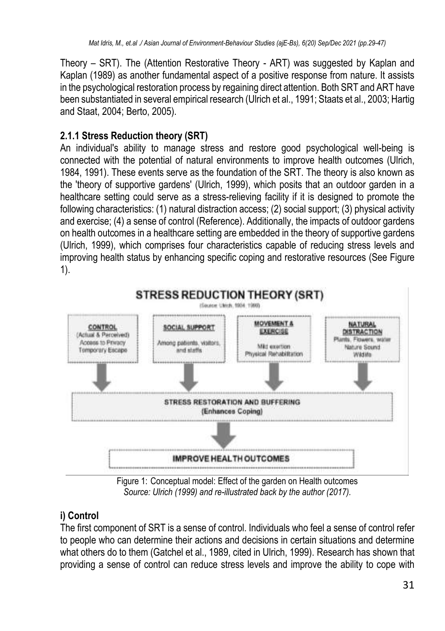Theory – SRT). The (Attention Restorative Theory - ART) was suggested by Kaplan and Kaplan (1989) as another fundamental aspect of a positive response from nature. It assists in the psychological restoration process by regaining direct attention. Both SRT and ART have been substantiated in several empirical research (Ulrich et al., 1991; Staats et al., 2003; Hartig and Staat, 2004; Berto, 2005).

## **2.1.1 Stress Reduction theory (SRT)**

An individual's ability to manage stress and restore good psychological well-being is connected with the potential of natural environments to improve health outcomes (Ulrich, 1984, 1991). These events serve as the foundation of the SRT. The theory is also known as the 'theory of supportive gardens' (Ulrich, 1999), which posits that an outdoor garden in a healthcare setting could serve as a stress-relieving facility if it is designed to promote the following characteristics: (1) natural distraction access; (2) social support; (3) physical activity and exercise; (4) a sense of control (Reference). Additionally, the impacts of outdoor gardens on health outcomes in a healthcare setting are embedded in the theory of supportive gardens (Ulrich, 1999), which comprises four characteristics capable of reducing stress levels and improving health status by enhancing specific coping and restorative resources (See Figure 1).



Figure 1: Conceptual model: Effect of the garden on Health outcomes *Source: Ulrich (1999) and re-illustrated back by the author (2017).*

## **i) Control**

The first component of SRT is a sense of control. Individuals who feel a sense of control refer to people who can determine their actions and decisions in certain situations and determine what others do to them (Gatchel et al., 1989, cited in Ulrich, 1999). Research has shown that providing a sense of control can reduce stress levels and improve the ability to cope with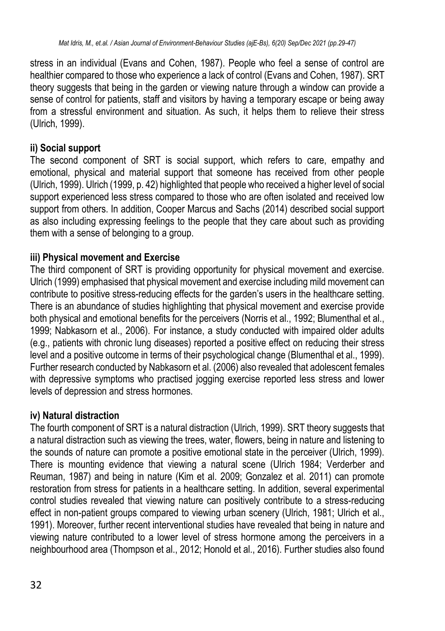stress in an individual (Evans and Cohen, 1987). People who feel a sense of control are healthier compared to those who experience a lack of control (Evans and Cohen, 1987). SRT theory suggests that being in the garden or viewing nature through a window can provide a sense of control for patients, staff and visitors by having a temporary escape or being away from a stressful environment and situation. As such, it helps them to relieve their stress (Ulrich, 1999).

#### **ii) Social support**

The second component of SRT is social support, which refers to care, empathy and emotional, physical and material support that someone has received from other people (Ulrich, 1999). Ulrich (1999, p. 42) highlighted that people who received a higher level of social support experienced less stress compared to those who are often isolated and received low support from others. In addition, Cooper Marcus and Sachs (2014) described social support as also including expressing feelings to the people that they care about such as providing them with a sense of belonging to a group.

#### **iii) Physical movement and Exercise**

The third component of SRT is providing opportunity for physical movement and exercise. Ulrich (1999) emphasised that physical movement and exercise including mild movement can contribute to positive stress-reducing effects for the garden's users in the healthcare setting. There is an abundance of studies highlighting that physical movement and exercise provide both physical and emotional benefits for the perceivers (Norris et al., 1992; Blumenthal et al., 1999; Nabkasorn et al., 2006). For instance, a study conducted with impaired older adults (e.g., patients with chronic lung diseases) reported a positive effect on reducing their stress level and a positive outcome in terms of their psychological change (Blumenthal et al., 1999). Further research conducted by Nabkasorn et al. (2006) also revealed that adolescent females with depressive symptoms who practised jogging exercise reported less stress and lower levels of depression and stress hormones.

#### **iv) Natural distraction**

The fourth component of SRT is a natural distraction (Ulrich, 1999). SRT theory suggests that a natural distraction such as viewing the trees, water, flowers, being in nature and listening to the sounds of nature can promote a positive emotional state in the perceiver (Ulrich, 1999). There is mounting evidence that viewing a natural scene (Ulrich 1984; Verderber and Reuman, 1987) and being in nature (Kim et al. 2009; Gonzalez et al. 2011) can promote restoration from stress for patients in a healthcare setting. In addition, several experimental control studies revealed that viewing nature can positively contribute to a stress-reducing effect in non-patient groups compared to viewing urban scenery (Ulrich, 1981; Ulrich et al., 1991). Moreover, further recent interventional studies have revealed that being in nature and viewing nature contributed to a lower level of stress hormone among the perceivers in a neighbourhood area (Thompson et al., 2012; Honold et al., 2016). Further studies also found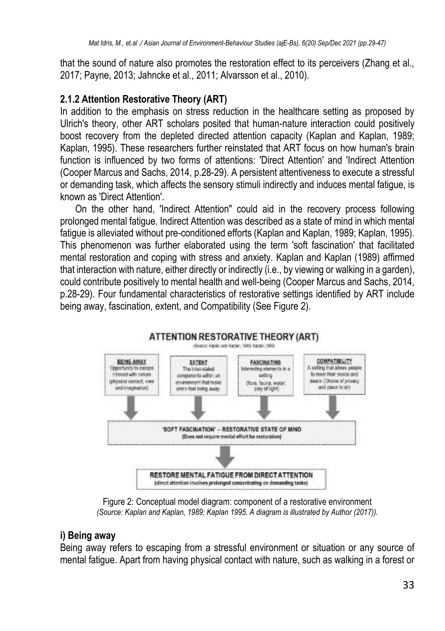that the sound of nature also promotes the restoration effect to its perceivers (Zhang et al., 2017; Payne, 2013; Jahncke et al., 2011; Alvarsson et al., 2010).

#### **2.1.2 Attention Restorative Theory (ART)**

In addition to the emphasis on stress reduction in the healthcare setting as proposed by Ulrich's theory, other ART scholars posited that human-nature interaction could positively boost recovery from the depleted directed attention capacity (Kaplan and Kaplan, 1989; Kaplan, 1995). These researchers further reinstated that ART focus on how human's brain function is influenced by two forms of attentions: 'Direct Attention' and 'Indirect Attention (Cooper Marcus and Sachs, 2014, p.28-29). A persistent attentiveness to execute a stressful or demanding task, which affects the sensory stimuli indirectly and induces mental fatigue, is known as 'Direct Attention'.

On the other hand, 'Indirect Attention" could aid in the recovery process following prolonged mental fatigue. Indirect Attention was described as a state of mind in which mental fatigue is alleviated without pre-conditioned efforts (Kaplan and Kaplan, 1989; Kaplan, 1995). This phenomenon was further elaborated using the term 'soft fascination' that facilitated mental restoration and coping with stress and anxiety. Kaplan and Kaplan (1989) affirmed that interaction with nature, either directly or indirectly (i.e., by viewing or walking in a garden), could contribute positively to mental health and well-being (Cooper Marcus and Sachs, 2014, p.28-29). Four fundamental characteristics of restorative settings identified by ART include being away, fascination, extent, and Compatibility (See [Figure 2\)](#page-4-0).



Figure 2: Conceptual model diagram: component of a restorative environment *(Source: Kaplan and Kaplan, 1989; Kaplan 1995. A diagram is illustrated by Author (2017)).*

#### <span id="page-4-0"></span>**i) Being away**

Being away refers to escaping from a stressful environment or situation or any source of mental fatigue. Apart from having physical contact with nature, such as walking in a forest or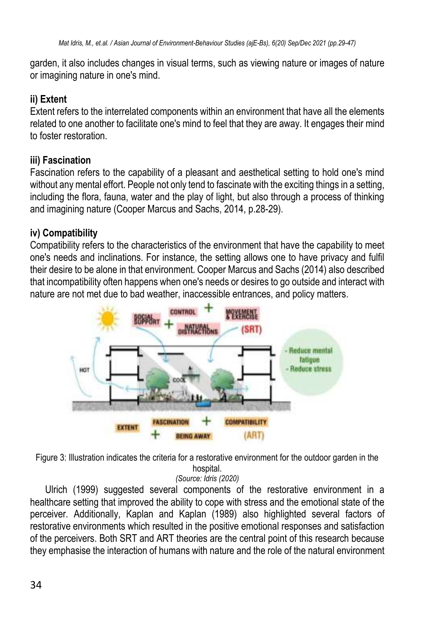garden, it also includes changes in visual terms, such as viewing nature or images of nature or imagining nature in one's mind.

#### **ii) Extent**

Extent refers to the interrelated components within an environment that have all the elements related to one another to facilitate one's mind to feel that they are away. It engages their mind to foster restoration.

#### **iii) Fascination**

Fascination refers to the capability of a pleasant and aesthetical setting to hold one's mind without any mental effort. People not only tend to fascinate with the exciting things in a setting, including the flora, fauna, water and the play of light, but also through a process of thinking and imagining nature (Cooper Marcus and Sachs, 2014, p.28-29).

#### **iv) Compatibility**

Compatibility refers to the characteristics of the environment that have the capability to meet one's needs and inclinations. For instance, the setting allows one to have privacy and fulfil their desire to be alone in that environment. Cooper Marcus and Sachs (2014) also described that incompatibility often happens when one's needs or desires to go outside and interact with nature are not met due to bad weather, inaccessible entrances, and policy matters.



<span id="page-5-0"></span>Figure 3: Illustration indicates the criteria for a restorative environment for the outdoor garden in the hospital.

*(Source: Idris (2020)*

Ulrich (1999) suggested several components of the restorative environment in a healthcare setting that improved the ability to cope with stress and the emotional state of the perceiver. Additionally, Kaplan and Kaplan (1989) also highlighted several factors of restorative environments which resulted in the positive emotional responses and satisfaction of the perceivers. Both SRT and ART theories are the central point of this research because they emphasise the interaction of humans with nature and the role of the natural environment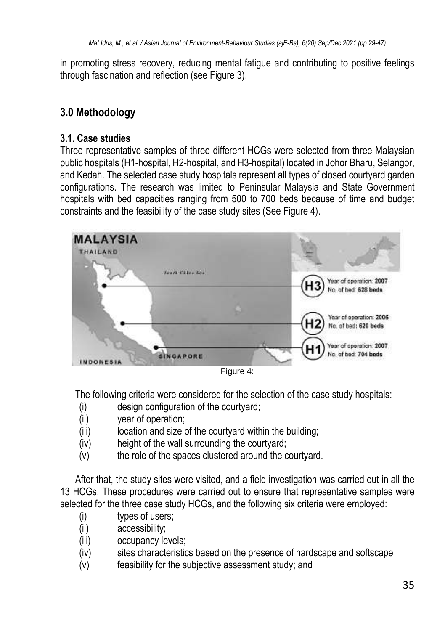in promoting stress recovery, reducing mental fatigue and contributing to positive feelings through fascination and reflection (see [Figure 3\)](#page-5-0).

## **3.0 Methodology**

#### **3.1. Case studies**

Three representative samples of three different HCGs were selected from three Malaysian public hospitals (H1-hospital, H2-hospital, and H3-hospital) located in Johor Bharu, Selangor, and Kedah. The selected case study hospitals represent all types of closed courtyard garden configurations. The research was limited to Peninsular Malaysia and State Government hospitals with bed capacities ranging from 500 to 700 beds because of time and budget constraints and the feasibility of the case study sites (See Figure 4).



Figure 4:

The following criteria were considered for the selection of the case study hospitals:

- (i) design configuration of the courtyard;
- (ii) year of operation;
- (iii) location and size of the courtyard within the building;
- (iv) height of the wall surrounding the courtyard;
- (v) the role of the spaces clustered around the courtyard.

After that, the study sites were visited, and a field investigation was carried out in all the 13 HCGs. These procedures were carried out to ensure that representative samples were selected for the three case study HCGs, and the following six criteria were employed:

- (i) types of users;
- (ii) accessibility;
- (iii) occupancy levels;
- (iv) sites characteristics based on the presence of hardscape and softscape
- (v) feasibility for the subjective assessment study; and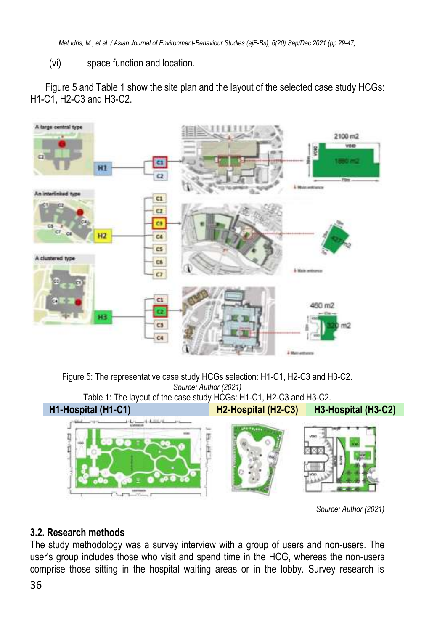*Mat Idris, M., et.al. / Asian Journal of Environment-Behaviour Studies (ajE-Bs), 6(20) Sep/Dec 2021 (pp.29-47)*

(vi) space function and location.

[Figure 5](#page-7-0) and Table 1 show the site plan and the layout of the selected case study HCGs: H1-C1, H2-C3 and H3-C2.



<span id="page-7-0"></span>



*Source: Author (2021)*

#### **3.2. Research methods**

The study methodology was a survey interview with a group of users and non-users. The user's group includes those who visit and spend time in the HCG, whereas the non-users comprise those sitting in the hospital waiting areas or in the lobby. Survey research is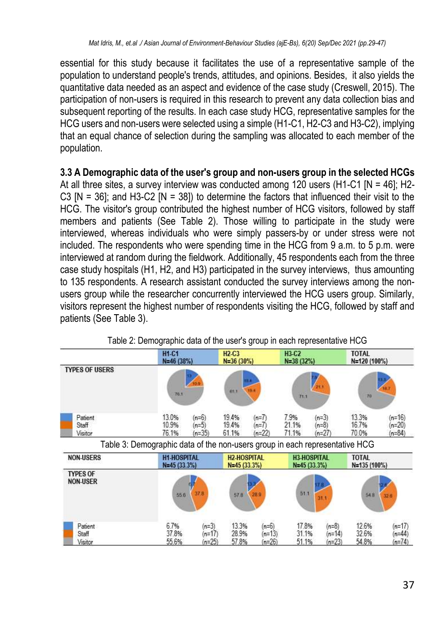essential for this study because it facilitates the use of a representative sample of the population to understand people's trends, attitudes, and opinions. Besides, it also yields the quantitative data needed as an aspect and evidence of the case study (Creswell, 2015). The participation of non-users is required in this research to prevent any data collection bias and subsequent reporting of the results. In each case study HCG, representative samples for the HCG users and non-users were selected using a simple (H1-C1, H2-C3 and H3-C2), implying that an equal chance of selection during the sampling was allocated to each member of the population.

**3.3 A Demographic data of the user's group and non-users group in the selected HCGs** At all three sites, a survey interview was conducted among 120 users (H1-C1 [N = 46]; H2- C3  $[N = 36]$ ; and H3-C2  $[N = 38]$ ) to determine the factors that influenced their visit to the HCG. The visitor's group contributed the highest number of HCG visitors, followed by staff members and patients (See Table 2). Those willing to participate in the study were interviewed, whereas individuals who were simply passers-by or under stress were not included. The respondents who were spending time in the HCG from 9 a.m. to 5 p.m. were interviewed at random during the fieldwork. Additionally, 45 respondents each from the three case study hospitals (H1, H2, and H3) participated in the survey interviews, thus amounting to 135 respondents. A research assistant conducted the survey interviews among the nonusers group while the researcher concurrently interviewed the HCG users group. Similarly, visitors represent the highest number of respondents visiting the HCG, followed by staff and patients (See Table 3).

|                                    | <b>H1-C1</b><br>N=46 (38%)                                                  |                                | <b>H<sub>2</sub></b> -C <sub>3</sub><br>$N = 36(30%)$ |                                 | H3-C2<br>$N = 38(32%)$  |                                     | <b>TOTAL</b><br>N=120 (100%) |                                  |
|------------------------------------|-----------------------------------------------------------------------------|--------------------------------|-------------------------------------------------------|---------------------------------|-------------------------|-------------------------------------|------------------------------|----------------------------------|
| <b>TYPES OF USERS</b>              | 70.1                                                                        |                                | 82.3                                                  | 16.4                            | 71.1                    | 721.1                               | 20                           |                                  |
| Patient<br>Staff<br>Visitor        | 13.0%<br>10.9%<br>76.1%                                                     | $(n=6)$<br>$(n=5)$<br>$(n=35)$ | 19.4%<br>19.4%<br>61.1%                               | $(n=7)$<br>$(n=7)$<br>$(n=22)$  | 7.9%<br>21.1%<br>71.1%  | $(n=3)$<br>$(n=8)$<br>$(n=27)$      | 13.3%<br>16.7%<br>70.0%      | $(n=16)$<br>$(n=20)$<br>$(n=84)$ |
|                                    | Table 3: Demographic data of the non-users group in each representative HCG |                                |                                                       |                                 |                         |                                     |                              |                                  |
| <b>NON-USERS</b>                   | <b>H1-HOSPITAL</b><br>$N=45(33.3%)$                                         |                                | <b>H2-HOSPITAL</b><br>$N=45(33.3%)$                   |                                 |                         | <b>H3-HOSPITAL</b><br>$N=45(33.3%)$ | <b>TOTAL</b><br>N=135 (100%) |                                  |
| <b>TYPES OF</b><br><b>NON-USER</b> | 556                                                                         | 37.8                           | 578                                                   | 28.9                            | 51.1                    | 31.1                                | 548                          | 32.6                             |
| Patient<br>Staff<br>Visitor        | 6.7%<br>37.8%<br>55.6%                                                      | $(n=3)$<br>$(n=17)$<br>$n=25$  | 13.3%<br>28.9%<br>57.8%                               | $(n=6)$<br>$(n=13)$<br>$(n=26)$ | 17.8%<br>31.1%<br>51.1% | $(n=8)$<br>$(n=14)$<br>$(n=23)$     | 12.6%<br>32.6%<br>54.8%      | $(n=17)$<br>$n = 44$<br>$n=74$   |

Table 2: Demographic data of the user's group in each representative HCG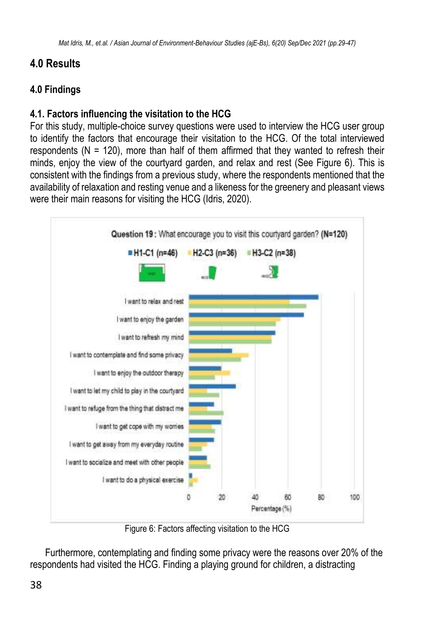## **4.0 Results**

### **4.0 Findings**

#### **4.1. Factors influencing the visitation to the HCG**

For this study, multiple-choice survey questions were used to interview the HCG user group to identify the factors that encourage their visitation to the HCG. Of the total interviewed respondents ( $N = 120$ ), more than half of them affirmed that they wanted to refresh their minds, enjoy the view of the courtyard garden, and relax and rest (See [Figure 6\)](#page-9-0). This is consistent with the findings from a previous study, where the respondents mentioned that the availability of relaxation and resting venue and a likeness for the greenery and pleasant views were their main reasons for visiting the HCG (Idris, 2020).



Figure 6: Factors affecting visitation to the HCG

<span id="page-9-0"></span>Furthermore, contemplating and finding some privacy were the reasons over 20% of the respondents had visited the HCG. Finding a playing ground for children, a distracting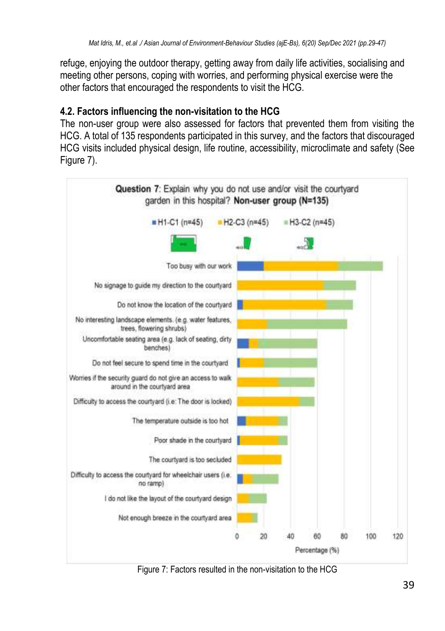refuge, enjoying the outdoor therapy, getting away from daily life activities, socialising and meeting other persons, coping with worries, and performing physical exercise were the other factors that encouraged the respondents to visit the HCG.

#### **4.2. Factors influencing the non-visitation to the HCG**

The non-user group were also assessed for factors that prevented them from visiting the HCG. A total of 135 respondents participated in this survey, and the factors that discouraged HCG visits included physical design, life routine, accessibility, microclimate and safety (See [Figure 7\)](#page-10-0).



<span id="page-10-0"></span>Figure 7: Factors resulted in the non-visitation to the HCG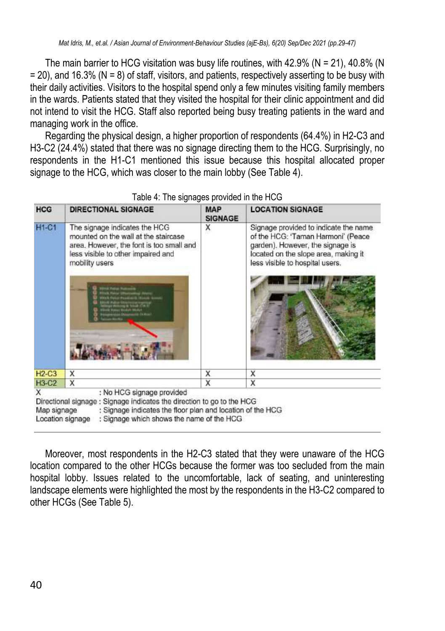The main barrier to HCG visitation was busy life routines, with  $42.9\%$  (N = 21),  $40.8\%$  (N  $= 20$ ), and 16.3% (N  $= 8$ ) of staff, visitors, and patients, respectively asserting to be busy with their daily activities. Visitors to the hospital spend only a few minutes visiting family members in the wards. Patients stated that they visited the hospital for their clinic appointment and did not intend to visit the HCG. Staff also reported being busy treating patients in the ward and managing work in the office.

Regarding the physical design, a higher proportion of respondents (64.4%) in H2-C3 and H3-C2 (24.4%) stated that there was no signage directing them to the HCG. Surprisingly, no respondents in the H1-C1 mentioned this issue because this hospital allocated proper signage to the HCG, which was closer to the main lobby (See Table 4).

| <b>HCG</b>       | <b>DIRECTIONAL SIGNAGE</b>                                                                                                                                                                                                         | <b>MAP</b><br><b>SIGNAGE</b> | <b>LOCATION SIGNAGE</b>                                                                                                                                                                    |
|------------------|------------------------------------------------------------------------------------------------------------------------------------------------------------------------------------------------------------------------------------|------------------------------|--------------------------------------------------------------------------------------------------------------------------------------------------------------------------------------------|
| <b>H1-C1</b>     | The signage indicates the HCG<br>mounted on the wall at the staircase<br>area. However, the font is too small and<br>less visible to other impaired and<br>mobility users                                                          | х                            | Signage provided to indicate the name<br>of the HCG: 'Taman Harmoni' (Peace<br>garden). However, the signage is<br>located on the slope area, making it<br>less visible to hospital users. |
| $H2-C3$          | X                                                                                                                                                                                                                                  | X                            | x                                                                                                                                                                                          |
| <b>H3-C2</b>     | $\mathsf{x}$                                                                                                                                                                                                                       | X                            | x                                                                                                                                                                                          |
| x<br>Map signage | : No HCG signage provided<br>Directional signage : Signage indicates the direction to go to the HCG<br>: Signage indicates the floor plan and location of the HCG<br>Location signage<br>: Signage which shows the name of the HCG |                              |                                                                                                                                                                                            |

|  |  | Table 4: The signages provided in the HCG |
|--|--|-------------------------------------------|
|--|--|-------------------------------------------|

Moreover, most respondents in the H2-C3 stated that they were unaware of the HCG location compared to the other HCGs because the former was too secluded from the main hospital lobby. Issues related to the uncomfortable, lack of seating, and uninteresting landscape elements were highlighted the most by the respondents in the H3-C2 compared to other HCGs (See Table 5).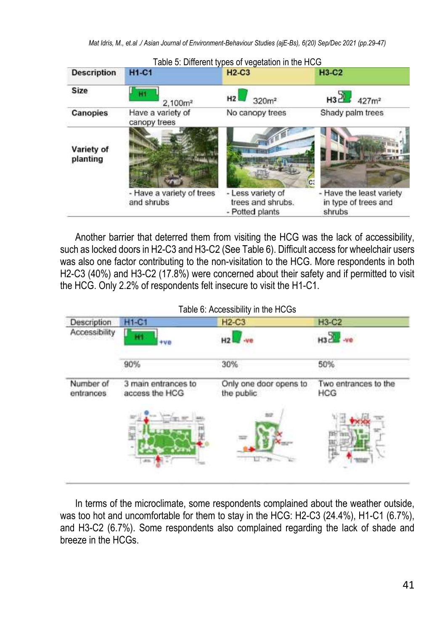|                        |                                         | Table 5: Different types of vegetation in the HCG         |                                                            |
|------------------------|-----------------------------------------|-----------------------------------------------------------|------------------------------------------------------------|
| <b>Description</b>     | <b>H1-C1</b>                            | $H2-C3$                                                   | $H3-C2$                                                    |
| Size                   | 2.100 <sup>m²</sup>                     | H2<br>320m <sup>2</sup>                                   | $H32 + 427m^2$                                             |
| <b>Canopies</b>        | Have a variety of<br>canopy trees       | No canopy trees                                           | Shady palm trees                                           |
| Variety of<br>planting |                                         |                                                           |                                                            |
|                        | - Have a variety of trees<br>and shrubs | - Less variety of<br>trees and shrubs.<br>- Potted plants | - Have the least variety<br>in type of trees and<br>shrubs |

Another barrier that deterred them from visiting the HCG was the lack of accessibility, such as locked doors in H2-C3 and H3-C2 (See Table 6). Difficult access for wheelchair users was also one factor contributing to the non-visitation to the HCG. More respondents in both H2-C3 (40%) and H3-C2 (17.8%) were concerned about their safety and if permitted to visit the HCG. Only 2.2% of respondents felt insecure to visit the H1-C1.

| Description            | <b>H1-C1</b>                          | $H2-C3$                              | <b>H3-C2</b>                |
|------------------------|---------------------------------------|--------------------------------------|-----------------------------|
| Accessibility          | н<br>$+va$                            | H <sub>2</sub>                       | H322                        |
|                        | 90%                                   | 30%                                  | 50%                         |
| Number of<br>entrances | 3 main entrances to<br>access the HCG | Only one door opens to<br>the public | Two entrances to the<br>HCG |
|                        |                                       |                                      |                             |
|                        |                                       |                                      |                             |
|                        |                                       |                                      |                             |

In terms of the microclimate, some respondents complained about the weather outside, was too hot and uncomfortable for them to stay in the HCG: H2-C3 (24.4%), H1-C1 (6.7%), and H3-C2 (6.7%). Some respondents also complained regarding the lack of shade and breeze in the HCGs.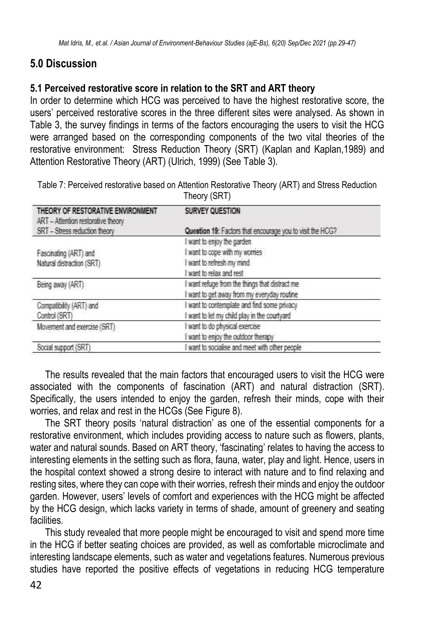## **5.0 Discussion**

#### **5.1 Perceived restorative score in relation to the SRT and ART theory**

In order to determine which HCG was perceived to have the highest restorative score, the users' perceived restorative scores in the three different sites were analysed. As shown in Table 3, the survey findings in terms of the factors encouraging the users to visit the HCG were arranged based on the corresponding components of the two vital theories of the restorative environment: Stress Reduction Theory (SRT) (Kaplan and Kaplan,1989) and Attention Restorative Theory (ART) (Ulrich, 1999) (See Table 3).

|                                                                         | Theory (SRT)                                              |
|-------------------------------------------------------------------------|-----------------------------------------------------------|
| THEORY OF RESTORATIVE ENVIRONMENT<br>ART - Attention restorative theory | SURVEY QUESTION                                           |
| SRT - Stress reduction theory                                           | Question 19: Factors that encourage you to visit the HCG? |
|                                                                         | I want to enjoy the garden                                |
| Fascinating (ART) and                                                   | want to cope with my wornes                               |
| Natural distraction (SRT)                                               | I want to refresh my mind                                 |
|                                                                         | want to relax and rest                                    |
| Being away (ART)                                                        | want refuge from the things that distract me              |
|                                                                         | I want to get away from my everyday routine               |
| Compatibility (ART) and                                                 | want to contemplate and find some privacy                 |
| Control (SRT)                                                           | I want to let my child play in the courtyard              |
| Movement and exercise (SRT)                                             | want to do physical exercise                              |
|                                                                         | want to enjoy the outdoor therapy                         |
| Social support (SRT)                                                    | want to socialise and meet with other people              |

Table 7: Perceived restorative based on Attention Restorative Theory (ART) and Stress Reduction

The results revealed that the main factors that encouraged users to visit the HCG were associated with the components of fascination (ART) and natural distraction (SRT). Specifically, the users intended to enjoy the garden, refresh their minds, cope with their worries, and relax and rest in the HCGs (See [Figure 8\)](#page-14-0).

The SRT theory posits 'natural distraction' as one of the essential components for a restorative environment, which includes providing access to nature such as flowers, plants, water and natural sounds. Based on ART theory, 'fascinating' relates to having the access to interesting elements in the setting such as flora, fauna, water, play and light. Hence, users in the hospital context showed a strong desire to interact with nature and to find relaxing and resting sites, where they can cope with their worries, refresh their minds and enjoy the outdoor garden. However, users' levels of comfort and experiences with the HCG might be affected by the HCG design, which lacks variety in terms of shade, amount of greenery and seating facilities.

This study revealed that more people might be encouraged to visit and spend more time in the HCG if better seating choices are provided, as well as comfortable microclimate and interesting landscape elements, such as water and vegetations features. Numerous previous studies have reported the positive effects of vegetations in reducing HCG temperature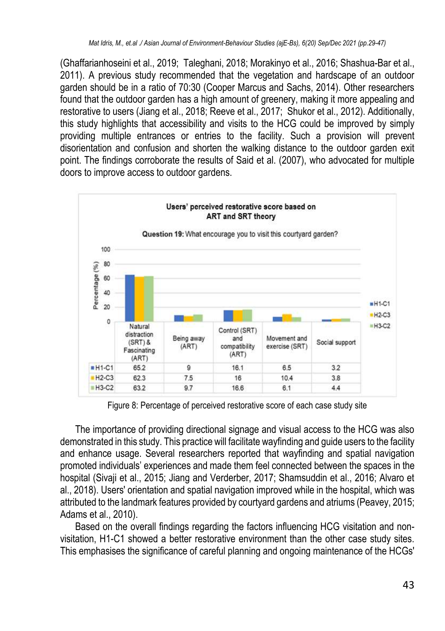(Ghaffarianhoseini et al., 2019; Taleghani, 2018; Morakinyo et al., 2016; Shashua-Bar et al., 2011). A previous study recommended that the vegetation and hardscape of an outdoor garden should be in a ratio of 70:30 (Cooper Marcus and Sachs, 2014). Other researchers found that the outdoor garden has a high amount of greenery, making it more appealing and restorative to users (Jiang et al., 2018; Reeve et al., 2017; Shukor et al., 2012). Additionally, this study highlights that accessibility and visits to the HCG could be improved by simply providing multiple entrances or entries to the facility. Such a provision will prevent disorientation and confusion and shorten the walking distance to the outdoor garden exit point. The findings corroborate the results of Said et al. (2007), who advocated for multiple doors to improve access to outdoor gardens.



Figure 8: Percentage of perceived restorative score of each case study site

<span id="page-14-0"></span>The importance of providing directional signage and visual access to the HCG was also demonstrated in this study. This practice will facilitate wayfinding and guide users to the facility and enhance usage. Several researchers reported that wayfinding and spatial navigation promoted individuals' experiences and made them feel connected between the spaces in the hospital (Sivaji et al., 2015; Jiang and Verderber, 2017; Shamsuddin et al., 2016; Alvaro et al., 2018). Users' orientation and spatial navigation improved while in the hospital, which was attributed to the landmark features provided by courtyard gardens and atriums (Peavey, 2015; Adams et al., 2010).

Based on the overall findings regarding the factors influencing HCG visitation and nonvisitation, H1-C1 showed a better restorative environment than the other case study sites. This emphasises the significance of careful planning and ongoing maintenance of the HCGs'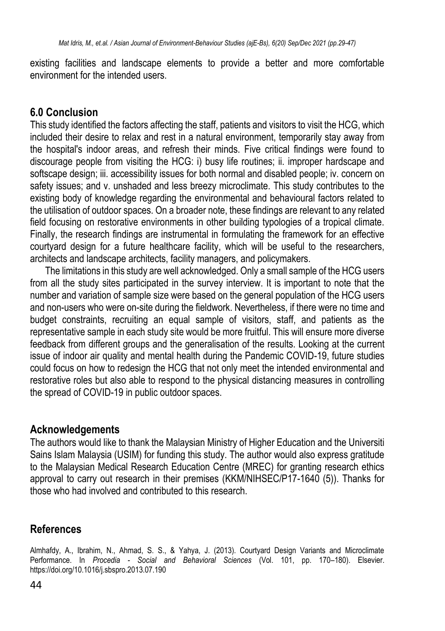existing facilities and landscape elements to provide a better and more comfortable environment for the intended users.

#### **6.0 Conclusion**

This study identified the factors affecting the staff, patients and visitors to visit the HCG, which included their desire to relax and rest in a natural environment, temporarily stay away from the hospital's indoor areas, and refresh their minds. Five critical findings were found to discourage people from visiting the HCG: i) busy life routines; ii. improper hardscape and softscape design; iii. accessibility issues for both normal and disabled people; iv. concern on safety issues; and v. unshaded and less breezy microclimate. This study contributes to the existing body of knowledge regarding the environmental and behavioural factors related to the utilisation of outdoor spaces. On a broader note, these findings are relevant to any related field focusing on restorative environments in other building typologies of a tropical climate. Finally, the research findings are instrumental in formulating the framework for an effective courtyard design for a future healthcare facility, which will be useful to the researchers, architects and landscape architects, facility managers, and policymakers.

The limitations in this study are well acknowledged. Only a small sample of the HCG users from all the study sites participated in the survey interview. It is important to note that the number and variation of sample size were based on the general population of the HCG users and non-users who were on-site during the fieldwork. Nevertheless, if there were no time and budget constraints, recruiting an equal sample of visitors, staff, and patients as the representative sample in each study site would be more fruitful. This will ensure more diverse feedback from different groups and the generalisation of the results. Looking at the current issue of indoor air quality and mental health during the Pandemic COVID-19, future studies could focus on how to redesign the HCG that not only meet the intended environmental and restorative roles but also able to respond to the physical distancing measures in controlling the spread of COVID-19 in public outdoor spaces.

#### **Acknowledgements**

The authors would like to thank the Malaysian Ministry of Higher Education and the Universiti Sains Islam Malaysia (USIM) for funding this study. The author would also express gratitude to the Malaysian Medical Research Education Centre (MREC) for granting research ethics approval to carry out research in their premises (KKM/NIHSEC/P17-1640 (5)). Thanks for those who had involved and contributed to this research.

## **References**

Almhafdy, A., Ibrahim, N., Ahmad, S. S., & Yahya, J. (2013). Courtyard Design Variants and Microclimate Performance. In *Procedia - Social and Behavioral Sciences* (Vol. 101, pp. 170–180). Elsevier. https://doi.org/10.1016/j.sbspro.2013.07.190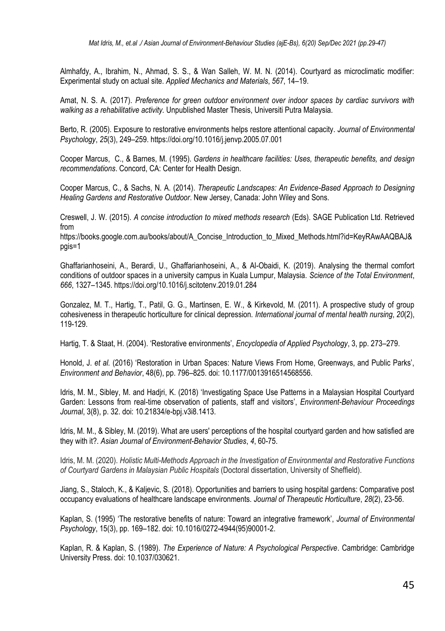Almhafdy, A., Ibrahim, N., Ahmad, S. S., & Wan Salleh, W. M. N. (2014). Courtyard as microclimatic modifier: Experimental study on actual site. *Applied Mechanics and Materials*, *567*, 14–19.

Amat, N. S. A. (2017). *Preference for green outdoor environment over indoor spaces by cardiac survivors with walking as a rehabilitative activity.* Unpublished Master Thesis, Universiti Putra Malaysia.

Berto, R. (2005). Exposure to restorative environments helps restore attentional capacity. *Journal of Environmental Psychology*, *25*(3), 249–259. https://doi.org/10.1016/j.jenvp.2005.07.001

Cooper Marcus, C., & Barnes, M. (1995). *Gardens in healthcare facilities: Uses, therapeutic benefits, and design recommendations*. Concord, CA: Center for Health Design.

Cooper Marcus, C., & Sachs, N. A. (2014). *Therapeutic Landscapes: An Evidence-Based Approach to Designing Healing Gardens and Restorative Outdoor*. New Jersey, Canada: John Wiley and Sons.

Creswell, J. W. (2015). *A concise introduction to mixed methods research* (Eds). SAGE Publication Ltd. Retrieved from

https://books.google.com.au/books/about/A\_Concise\_Introduction\_to\_Mixed\_Methods.html?id=KeyRAwAAQBAJ& pgis=1

Ghaffarianhoseini, A., Berardi, U., Ghaffarianhoseini, A., & Al-Obaidi, K. (2019). Analysing the thermal comfort conditions of outdoor spaces in a university campus in Kuala Lumpur, Malaysia. *Science of the Total Environment*, *666*, 1327–1345. https://doi.org/10.1016/j.scitotenv.2019.01.284

Gonzalez, M. T., Hartig, T., Patil, G. G., Martinsen, E. W., & Kirkevold, M. (2011). A prospective study of group cohesiveness in therapeutic horticulture for clinical depression. *International journal of mental health nursing*, *20*(2), 119-129.

Hartig, T. & Staat, H. (2004). 'Restorative environments', *Encyclopedia of Applied Psychology*, 3, pp. 273–279.

Honold, J. *et al.* (2016) 'Restoration in Urban Spaces: Nature Views From Home, Greenways, and Public Parks', *Environment and Behavior*, 48(6), pp. 796–825. doi: 10.1177/0013916514568556.

Idris, M. M., Sibley, M. and Hadjri, K. (2018) 'Investigating Space Use Patterns in a Malaysian Hospital Courtyard Garden: Lessons from real-time observation of patients, staff and visitors', *Environment-Behaviour Proceedings Journal*, 3(8), p. 32. doi: 10.21834/e-bpj.v3i8.1413.

Idris, M. M., & Sibley, M. (2019). What are users' perceptions of the hospital courtyard garden and how satisfied are they with it?. *Asian Journal of Environment-Behavior Studies*, *4*, 60-75.

Idris, M. M. (2020). *Holistic Multi-Methods Approach in the Investigation of Environmental and Restorative Functions of Courtyard Gardens in Malaysian Public Hospitals* (Doctoral dissertation, University of Sheffield).

Jiang, S., Staloch, K., & Kaljevic, S. (2018). Opportunities and barriers to using hospital gardens: Comparative post occupancy evaluations of healthcare landscape environments. *Journal of Therapeutic Horticulture*, *28*(2), 23-56.

Kaplan, S. (1995) 'The restorative benefits of nature: Toward an integrative framework', *Journal of Environmental Psychology*, 15(3), pp. 169–182. doi: 10.1016/0272-4944(95)90001-2.

Kaplan, R. & Kaplan, S. (1989). *The Experience of Nature: A Psychological Perspective*. Cambridge: Cambridge University Press. doi: 10.1037/030621.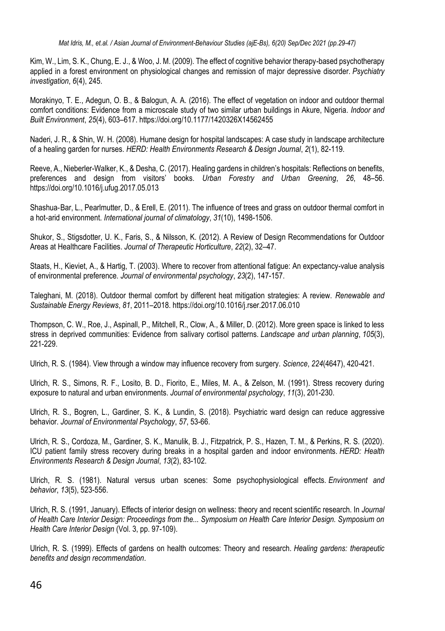Kim, W., Lim, S. K., Chung, E. J., & Woo, J. M. (2009). The effect of cognitive behavior therapy-based psychotherapy applied in a forest environment on physiological changes and remission of major depressive disorder. *Psychiatry investigation*, *6*(4), 245.

Morakinyo, T. E., Adegun, O. B., & Balogun, A. A. (2016). The effect of vegetation on indoor and outdoor thermal comfort conditions: Evidence from a microscale study of two similar urban buildings in Akure, Nigeria. *Indoor and Built Environment*, *25*(4), 603–617. https://doi.org/10.1177/1420326X14562455

Naderi, J. R., & Shin, W. H. (2008). Humane design for hospital landscapes: A case study in landscape architecture of a healing garden for nurses. *HERD: Health Environments Research & Design Journal*, *2*(1), 82-119.

Reeve, A., Nieberler-Walker, K., & Desha, C. (2017). Healing gardens in children's hospitals: Reflections on benefits, preferences and design from visitors' books. *Urban Forestry and Urban Greening*, *26*, 48–56. <https://doi.org/10.1016/j.ufug.2017.05.013>

Shashua‐Bar, L., Pearlmutter, D., & Erell, E. (2011). The influence of trees and grass on outdoor thermal comfort in a hot‐arid environment. *International journal of climatology*, *31*(10), 1498-1506.

Shukor, S., Stigsdotter, U. K., Faris, S., & Nilsson, K. (2012). A Review of Design Recommendations for Outdoor Areas at Healthcare Facilities. *Journal of Therapeutic Horticulture*, *22*(2), 32–47.

Staats, H., Kieviet, A., & Hartig, T. (2003). Where to recover from attentional fatigue: An expectancy-value analysis of environmental preference. *Journal of environmental psychology*, *23*(2), 147-157.

Taleghani, M. (2018). Outdoor thermal comfort by different heat mitigation strategies: A review. *Renewable and Sustainable Energy Reviews*, *81*, 2011–2018. https://doi.org/10.1016/j.rser.2017.06.010

Thompson, C. W., Roe, J., Aspinall, P., Mitchell, R., Clow, A., & Miller, D. (2012). More green space is linked to less stress in deprived communities: Evidence from salivary cortisol patterns. *Landscape and urban planning*, *105*(3), 221-229.

Ulrich, R. S. (1984). View through a window may influence recovery from surgery. *Science*, *224*(4647), 420-421.

Ulrich, R. S., Simons, R. F., Losito, B. D., Fiorito, E., Miles, M. A., & Zelson, M. (1991). Stress recovery during exposure to natural and urban environments. *Journal of environmental psychology*, *11*(3), 201-230.

Ulrich, R. S., Bogren, L., Gardiner, S. K., & Lundin, S. (2018). Psychiatric ward design can reduce aggressive behavior. *Journal of Environmental Psychology*, *57*, 53-66.

Ulrich, R. S., Cordoza, M., Gardiner, S. K., Manulik, B. J., Fitzpatrick, P. S., Hazen, T. M., & Perkins, R. S. (2020). ICU patient family stress recovery during breaks in a hospital garden and indoor environments. *HERD: Health Environments Research & Design Journal*, *13*(2), 83-102.

Ulrich, R. S. (1981). Natural versus urban scenes: Some psychophysiological effects. *Environment and behavior*, *13*(5), 523-556.

Ulrich, R. S. (1991, January). Effects of interior design on wellness: theory and recent scientific research. In *Journal of Health Care Interior Design: Proceedings from the... Symposium on Health Care Interior Design. Symposium on Health Care Interior Design* (Vol. 3, pp. 97-109).

Ulrich, R. S. (1999). Effects of gardens on health outcomes: Theory and research. *Healing gardens: therapeutic benefits and design recommendation*.